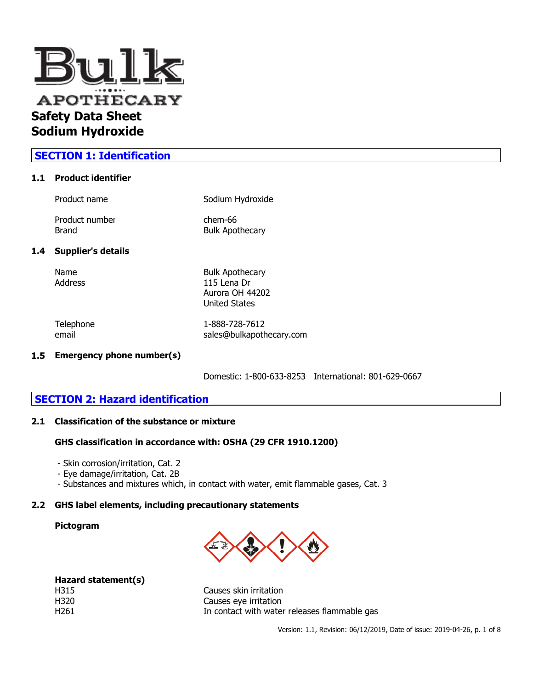

## **SECTION 1: Identification**

#### **1.1 Product identifier**

| Product name              | Sodium Hydroxide                  |
|---------------------------|-----------------------------------|
| Product number<br>Brand   | chem-66<br><b>Bulk Apothecary</b> |
| <b>Supplier's details</b> |                                   |

#### $1.4$

Name Bulk Apothecary Address 115 Lena Dr Aurora OH 44202 United States

Telephone 1-888-728-7612 email sales@bulkapothecary.com

#### **1.5 Emergency phone number(s)**

Domestic: 1-800-633-8253 International: 801-629-0667

## **SECTION 2: Hazard identification**

### **2.1 Classification of the substance or mixture**

#### **GHS classification in accordance with: OSHA (29 CFR 1910.1200)**

- Skin corrosion/irritation, Cat. 2
- Eye damage/irritation, Cat. 2B
- Substances and mixtures which, in contact with water, emit flammable gases, Cat. 3

#### **2.2 GHS label elements, including precautionary statements**

#### **Pictogram**



|      | Hazard statement(s) |
|------|---------------------|
| H315 |                     |
| H320 |                     |
| H261 |                     |

Causes skin irritation Causes eye irritation In contact with water releases flammable gas

Version: 1.1, Revision: 06/12/2019, Date of issue: 2019-04-26, p. 1 of 8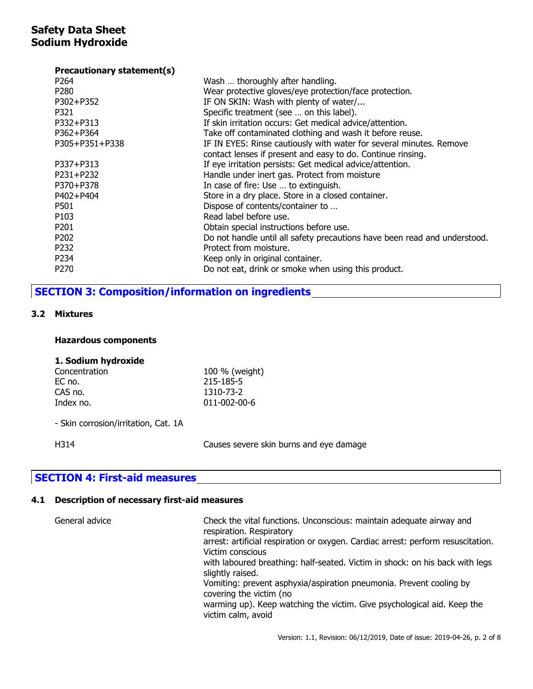#### **Precautionary statement(s)**

| P264             | Wash  thoroughly after handling.                                          |
|------------------|---------------------------------------------------------------------------|
| P <sub>280</sub> | Wear protective gloves/eye protection/face protection.                    |
| P302+P352        | IF ON SKIN: Wash with plenty of water/                                    |
| P321             | Specific treatment (see  on this label).                                  |
| P332+P313        | If skin irritation occurs: Get medical advice/attention.                  |
| P362+P364        | Take off contaminated clothing and wash it before reuse.                  |
| P305+P351+P338   | IF IN EYES: Rinse cautiously with water for several minutes. Remove       |
|                  | contact lenses if present and easy to do. Continue rinsing.               |
| P337+P313        | If eye irritation persists: Get medical advice/attention.                 |
| P231+P232        | Handle under inert gas. Protect from moisture                             |
| P370+P378        | In case of fire: Use  to extinguish.                                      |
| P402+P404        | Store in a dry place. Store in a closed container.                        |
| P501             | Dispose of contents/container to                                          |
| P <sub>103</sub> | Read label before use.                                                    |
| P <sub>201</sub> | Obtain special instructions before use.                                   |
| P <sub>202</sub> | Do not handle until all safety precautions have been read and understood. |
| P <sub>232</sub> | Protect from moisture.                                                    |
| P234             | Keep only in original container.                                          |
| P <sub>270</sub> | Do not eat, drink or smoke when using this product.                       |
|                  |                                                                           |

# **SECTION 3: Composition/information on ingredients**

### **3.2 Mixtures**

#### **Hazardous components**

#### **1. Sodium hydroxide**

| 100 % (weight)       |  |
|----------------------|--|
| 215-185-5            |  |
| 1310-73-2            |  |
| $011 - 002 - 00 - 6$ |  |
|                      |  |

- Skin corrosion/irritation, Cat. 1A

H314 Causes severe skin burns and eye damage

## **SECTION 4: First-aid measures**

## **4.1 Description of necessary first-aid measures**

| General advice | Check the vital functions. Unconscious: maintain adequate airway and<br>respiration. Respiratory     |
|----------------|------------------------------------------------------------------------------------------------------|
|                | arrest: artificial respiration or oxygen. Cardiac arrest: perform resuscitation.<br>Victim conscious |
|                | with laboured breathing: half-seated. Victim in shock: on his back with legs<br>slightly raised.     |
|                | Vomiting: prevent asphyxia/aspiration pneumonia. Prevent cooling by<br>covering the victim (no       |
|                | warming up). Keep watching the victim. Give psychological aid. Keep the<br>victim calm, avoid        |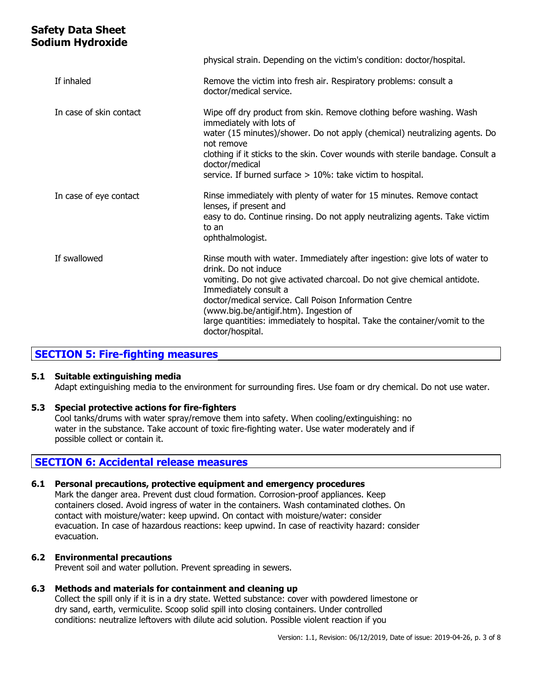|                         | physical strain. Depending on the victim's condition: doctor/hospital.                                                                                                                                                                                                                                                                                                                                        |
|-------------------------|---------------------------------------------------------------------------------------------------------------------------------------------------------------------------------------------------------------------------------------------------------------------------------------------------------------------------------------------------------------------------------------------------------------|
| If inhaled              | Remove the victim into fresh air. Respiratory problems: consult a<br>doctor/medical service.                                                                                                                                                                                                                                                                                                                  |
| In case of skin contact | Wipe off dry product from skin. Remove clothing before washing. Wash<br>immediately with lots of<br>water (15 minutes)/shower. Do not apply (chemical) neutralizing agents. Do<br>not remove<br>clothing if it sticks to the skin. Cover wounds with sterile bandage. Consult a<br>doctor/medical<br>service. If burned surface $> 10\%$ : take victim to hospital.                                           |
| In case of eye contact  | Rinse immediately with plenty of water for 15 minutes. Remove contact<br>lenses, if present and<br>easy to do. Continue rinsing. Do not apply neutralizing agents. Take victim<br>to an<br>ophthalmologist.                                                                                                                                                                                                   |
| If swallowed            | Rinse mouth with water. Immediately after ingestion: give lots of water to<br>drink. Do not induce<br>vomiting. Do not give activated charcoal. Do not give chemical antidote.<br>Immediately consult a<br>doctor/medical service. Call Poison Information Centre<br>(www.big.be/antigif.htm). Ingestion of<br>large quantities: immediately to hospital. Take the container/vomit to the<br>doctor/hospital. |

## **SECTION 5: Fire-fighting measures**

## **5.1 Suitable extinguishing media**

Adapt extinguishing media to the environment for surrounding fires. Use foam or dry chemical. Do not use water.

#### **5.3 Special protective actions for fire-fighters**

Cool tanks/drums with water spray/remove them into safety. When cooling/extinguishing: no water in the substance. Take account of toxic fire-fighting water. Use water moderately and if possible collect or contain it.

## **SECTION 6: Accidental release measures**

#### **6.1 Personal precautions, protective equipment and emergency procedures**

Mark the danger area. Prevent dust cloud formation. Corrosion-proof appliances. Keep containers closed. Avoid ingress of water in the containers. Wash contaminated clothes. On contact with moisture/water: keep upwind. On contact with moisture/water: consider evacuation. In case of hazardous reactions: keep upwind. In case of reactivity hazard: consider evacuation.

## **6.2 Environmental precautions**

Prevent soil and water pollution. Prevent spreading in sewers.

#### **6.3 Methods and materials for containment and cleaning up**

Collect the spill only if it is in a dry state. Wetted substance: cover with powdered limestone or dry sand, earth, vermiculite. Scoop solid spill into closing containers. Under controlled conditions: neutralize leftovers with dilute acid solution. Possible violent reaction if you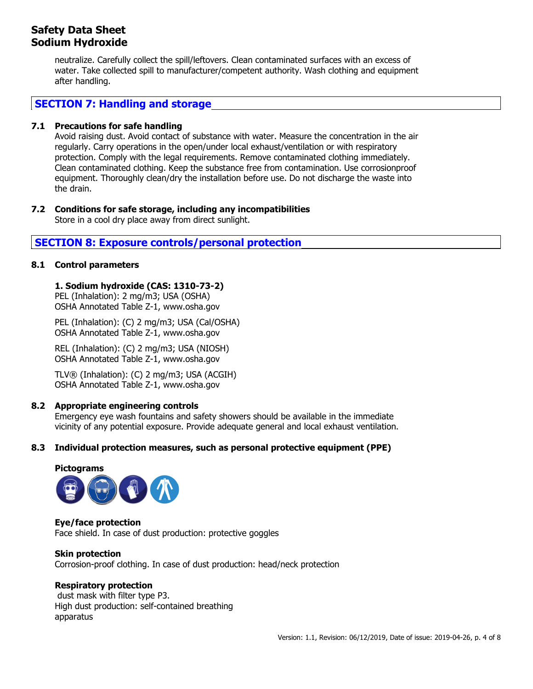neutralize. Carefully collect the spill/leftovers. Clean contaminated surfaces with an excess of water. Take collected spill to manufacturer/competent authority. Wash clothing and equipment after handling.

## **SECTION 7: Handling and storage**

## **7.1 Precautions for safe handling**

Avoid raising dust. Avoid contact of substance with water. Measure the concentration in the air regularly. Carry operations in the open/under local exhaust/ventilation or with respiratory protection. Comply with the legal requirements. Remove contaminated clothing immediately. Clean contaminated clothing. Keep the substance free from contamination. Use corrosionproof equipment. Thoroughly clean/dry the installation before use. Do not discharge the waste into the drain.

## **7.2 Conditions for safe storage, including any incompatibilities**

Store in a cool dry place away from direct sunlight.

# **SECTION 8: Exposure controls/personal protection**

## **8.1 Control parameters**

## **1. Sodium hydroxide (CAS: 1310-73-2)**

PEL (Inhalation): 2 mg/m3; USA (OSHA) OSHA Annotated Table Z-1, www.osha.gov

PEL (Inhalation): (C) 2 mg/m3; USA (Cal/OSHA) OSHA Annotated Table Z-1, www.osha.gov

REL (Inhalation): (C) 2 mg/m3; USA (NIOSH) OSHA Annotated Table Z-1, www.osha.gov

TLV® (Inhalation): (C) 2 mg/m3; USA (ACGIH) OSHA Annotated Table Z-1, www.osha.gov

## **8.2 Appropriate engineering controls**

Emergency eye wash fountains and safety showers should be available in the immediate vicinity of any potential exposure. Provide adequate general and local exhaust ventilation.

## **8.3 Individual protection measures, such as personal protective equipment (PPE)**



**Eye/face protection** Face shield. In case of dust production: protective goggles

#### **Skin protection**

Corrosion-proof clothing. In case of dust production: head/neck protection

## **Respiratory protection**

dust mask with filter type P3. High dust production: self-contained breathing apparatus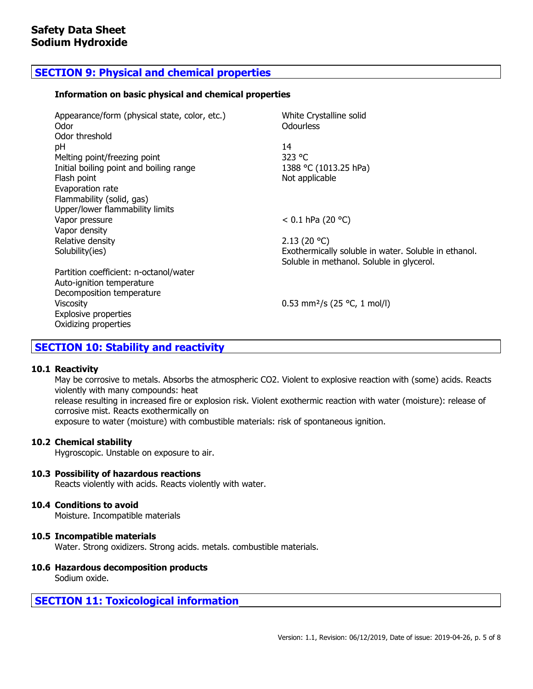# **SECTION 9: Physical and chemical properties**

#### **Information on basic physical and chemical properties**

| Appearance/form (physical state, color, etc.)<br>Odor | White Crystalline solid<br><b>Odourless</b>                                                       |
|-------------------------------------------------------|---------------------------------------------------------------------------------------------------|
| Odor threshold                                        |                                                                                                   |
| рH                                                    | 14                                                                                                |
| Melting point/freezing point                          | 323 $^{\circ}$ C                                                                                  |
| Initial boiling point and boiling range               | 1388 °C (1013.25 hPa)                                                                             |
| Flash point                                           | Not applicable                                                                                    |
| Evaporation rate                                      |                                                                                                   |
| Flammability (solid, gas)                             |                                                                                                   |
| Upper/lower flammability limits                       |                                                                                                   |
| Vapor pressure                                        | < 0.1 hPa (20 °C)                                                                                 |
| Vapor density                                         |                                                                                                   |
| Relative density<br>Solubility(ies)                   | 2.13(20 °C)                                                                                       |
|                                                       | Exothermically soluble in water. Soluble in ethanol.<br>Soluble in methanol. Soluble in glycerol. |
| Partition coefficient: n-octanol/water                |                                                                                                   |
| Auto-ignition temperature                             |                                                                                                   |
| Decomposition temperature                             |                                                                                                   |
| Viscosity                                             | 0.53 mm <sup>2</sup> /s (25 °C, 1 mol/l)                                                          |
| <b>Explosive properties</b>                           |                                                                                                   |
| Oxidizing properties                                  |                                                                                                   |
|                                                       |                                                                                                   |

## **SECTION 10: Stability and reactivity**

#### **10.1 Reactivity**

May be corrosive to metals. Absorbs the atmospheric CO2. Violent to explosive reaction with (some) acids. Reacts violently with many compounds: heat release resulting in increased fire or explosion risk. Violent exothermic reaction with water (moisture): release of corrosive mist. Reacts exothermically on exposure to water (moisture) with combustible materials: risk of spontaneous ignition.

#### **10.2 Chemical stability**

Hygroscopic. Unstable on exposure to air.

#### **10.3 Possibility of hazardous reactions**

Reacts violently with acids. Reacts violently with water.

#### **10.4 Conditions to avoid**

Moisture. Incompatible materials

#### **10.5 Incompatible materials**

Water. Strong oxidizers. Strong acids. metals. combustible materials.

## **10.6 Hazardous decomposition products**

Sodium oxide.

## **SECTION 11: Toxicological information**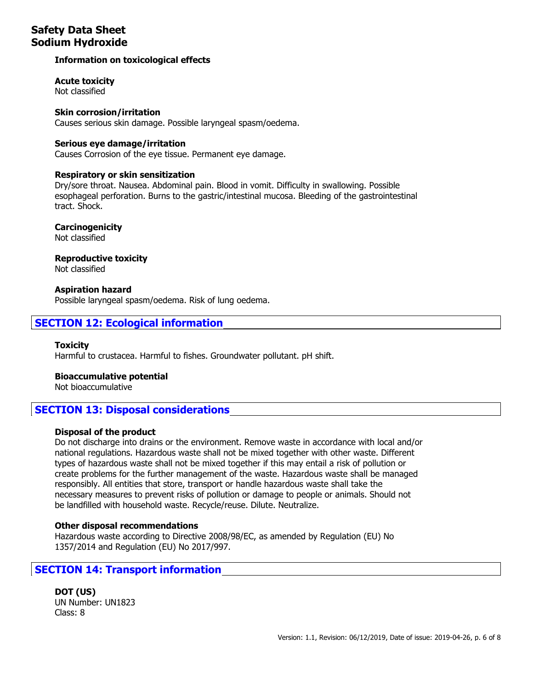## **Information on toxicological effects**

**Acute toxicity**

Not classified

## **Skin corrosion/irritation**

Causes serious skin damage. Possible laryngeal spasm/oedema.

## **Serious eye damage/irritation**

Causes Corrosion of the eye tissue. Permanent eye damage.

#### **Respiratory or skin sensitization**

Dry/sore throat. Nausea. Abdominal pain. Blood in vomit. Difficulty in swallowing. Possible esophageal perforation. Burns to the gastric/intestinal mucosa. Bleeding of the gastrointestinal tract. Shock.

**Carcinogenicity**

Not classified

## **Reproductive toxicity**

Not classified

#### **Aspiration hazard**

Possible laryngeal spasm/oedema. Risk of lung oedema.

# **SECTION 12: Ecological information**

**Toxicity** Harmful to crustacea. Harmful to fishes. Groundwater pollutant. pH shift.

## **Bioaccumulative potential**

Not bioaccumulative

## **SECTION 13: Disposal considerations**

## **Disposal of the product**

Do not discharge into drains or the environment. Remove waste in accordance with local and/or national regulations. Hazardous waste shall not be mixed together with other waste. Different types of hazardous waste shall not be mixed together if this may entail a risk of pollution or create problems for the further management of the waste. Hazardous waste shall be managed responsibly. All entities that store, transport or handle hazardous waste shall take the necessary measures to prevent risks of pollution or damage to people or animals. Should not be landfilled with household waste. Recycle/reuse. Dilute. Neutralize.

## **Other disposal recommendations**

Hazardous waste according to Directive 2008/98/EC, as amended by Regulation (EU) No 1357/2014 and Regulation (EU) No 2017/997.

## **SECTION 14: Transport information**

**DOT (US)** UN Number: UN1823 Class: 8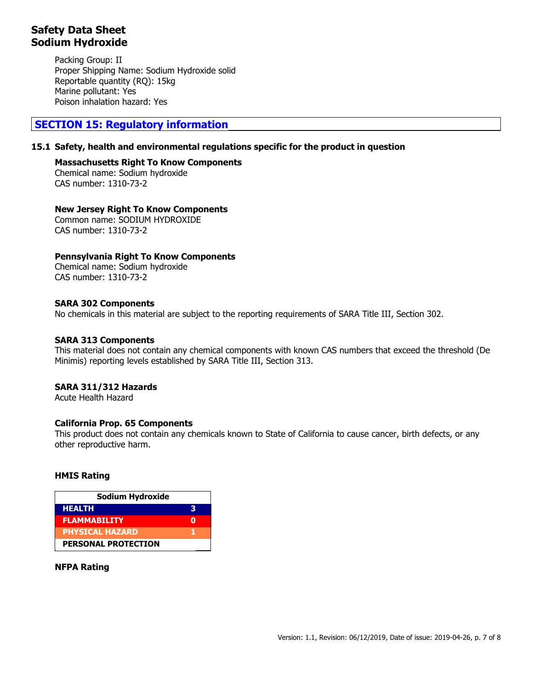Packing Group: II Proper Shipping Name: Sodium Hydroxide solid Reportable quantity (RQ): 15kg Marine pollutant: Yes Poison inhalation hazard: Yes

## **SECTION 15: Regulatory information**

## **15.1 Safety, health and environmental regulations specific for the product in question**

### **Massachusetts Right To Know Components**

Chemical name: Sodium hydroxide CAS number: 1310-73-2

#### **New Jersey Right To Know Components**

Common name: SODIUM HYDROXIDE CAS number: 1310-73-2

## **Pennsylvania Right To Know Components**

Chemical name: Sodium hydroxide CAS number: 1310-73-2

## **SARA 302 Components**

No chemicals in this material are subject to the reporting requirements of SARA Title III, Section 302.

## **SARA 313 Components**

This material does not contain any chemical components with known CAS numbers that exceed the threshold (De Minimis) reporting levels established by SARA Title III, Section 313.

## **SARA 311/312 Hazards**

Acute Health Hazard

## **California Prop. 65 Components**

This product does not contain any chemicals known to State of California to cause cancer, birth defects, or any other reproductive harm.

#### **HMIS Rating**

| Sodium Hydroxide           |   |
|----------------------------|---|
| <b>HEALTH</b>              | R |
| <b>FLAMMABILITY</b>        |   |
| <b>PHYSICAL HAZARD</b>     |   |
| <b>PERSONAL PROTECTION</b> |   |

#### **NFPA Rating**